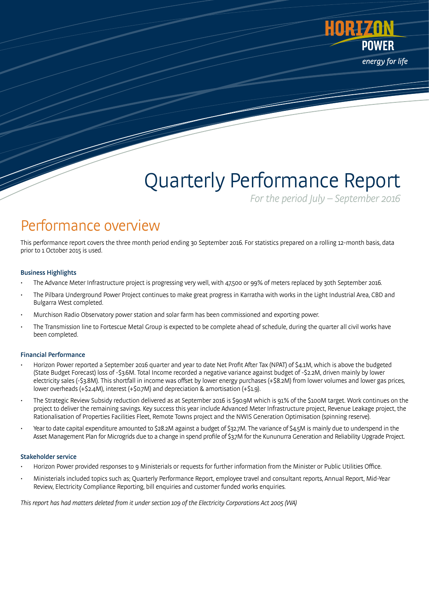

# Quarterly Performance Report

For the period July – September 2016

### Performance overview

This performance report covers the three month period ending 30 September 2016. For statistics prepared on a rolling 12-month basis, data prior to 1 October 2015 is used.

#### Business Highlights

- The Advance Meter Infrastructure project is progressing very well, with 47,500 or 99% of meters replaced by 30th September 2016.
- The Pilbara Underground Power Project continues to make great progress in Karratha with works in the Light Industrial Area, CBD and Bulgarra West completed.
- Murchison Radio Observatory power station and solar farm has been commissioned and exporting power.
- The Transmission line to Fortescue Metal Group is expected to be complete ahead of schedule, during the quarter all civil works have been completed.

#### Financial Performance

- Horizon Power reported a September 2016 quarter and year to date Net Profit After Tax (NPAT) of \$4.1M, which is above the budgeted (State Budget Forecast) loss of -\$3.6M. Total Income recorded a negative variance against budget of -\$2.2M, driven mainly by lower electricity sales (-\$3.8M). This shortfall in income was offset by lower energy purchases (+\$8.2M) from lower volumes and lower gas prices, lower overheads (+\$2.4M), interest (+\$0.7M) and depreciation & amortisation (+\$1.9).
- The Strategic Review Subsidy reduction delivered as at September 2016 is \$90.9M which is 91% of the \$100M target. Work continues on the project to deliver the remaining savings. Key success this year include Advanced Meter Infrastructure project, Revenue Leakage project, the Rationalisation of Properties Facilities Fleet, Remote Towns project and the NWIS Generation Optimisation (spinning reserve).
- Year to date capital expenditure amounted to \$28.2M against a budget of \$32.7M. The variance of \$4.5M is mainly due to underspend in the Asset Management Plan for Microgrids due to a change in spend profile of \$3.7M for the Kununurra Generation and Reliability Upgrade Project.

#### Stakeholder service

- Horizon Power provided responses to 9 Ministerials or requests for further information from the Minister or Public Utilities Office.
- Ministerials included topics such as; Quarterly Performance Report, employee travel and consultant reports, Annual Report, Mid-Year Review, Electricity Compliance Reporting, bill enquiries and customer funded works enquiries.

This report has had matters deleted from it under section 109 of the Electricity Corporations Act 2005 (WA)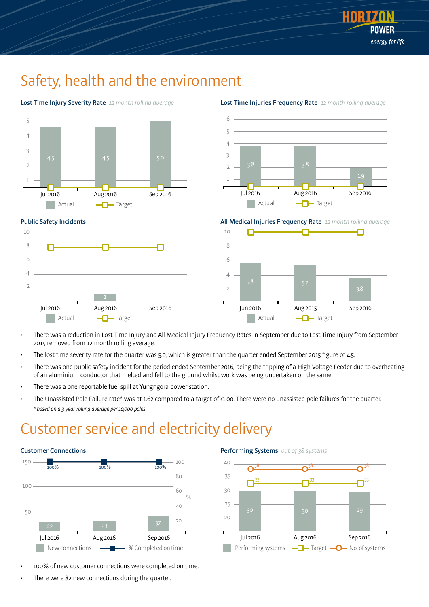

### Safety, health and the environment



Lost Time Injury Severity Rate 12 month rolling average



Lost Time Injuries Frequency Rate 12 month rolling average

All Medical Injuries Frequency Rate 12 month rolling average



- There was a reduction in Lost Time Injury and All Medical Injury Frequency Rates in September due to Lost Time Injury from September 2015 removed from 12 month rolling average.
- The lost time severity rate for the quarter was 5.0, which is greater than the quarter ended September 2015 figure of 4.5.
- There was one public safety incident for the period ended September 2016, being the tripping of a High Voltage Feeder due to overheating of an aluminium conductor that melted and fell to the ground whilst work was being undertaken on the same.
- There was a one reportable fuel spill at Yungngora power station.
- The Unassisted Pole Failure rate\* was at 1.62 compared to a target of <1.00. There were no unassisted pole failures for the quarter. \* based on a 3 year rolling average per 10,000 poles

### Customer service and electricity delivery



- 100% of new customer connections were completed on time.
- There were 82 new connections during the quarter.



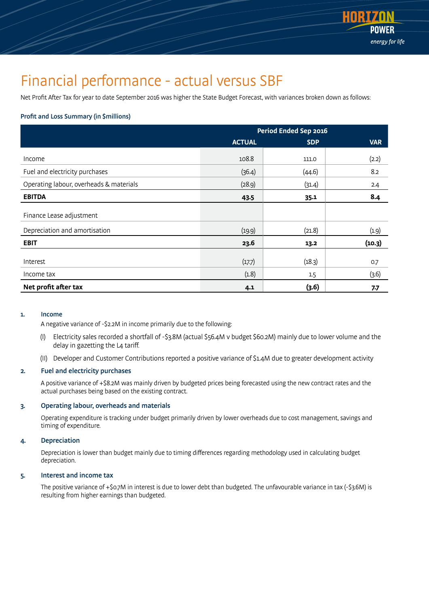

### Financial performance - actual versus SBF

Net Profit After Tax for year to date September 2016 was higher the State Budget Forecast, with variances broken down as follows:

#### Profit and Loss Summary (in \$millions)

|                                         | Period Ended Sep 2016 |            |            |
|-----------------------------------------|-----------------------|------------|------------|
|                                         | <b>ACTUAL</b>         | <b>SDP</b> | <b>VAR</b> |
| Income                                  | 108.8                 | 111.0      | (2.2)      |
| Fuel and electricity purchases          | (36.4)                | (44.6)     | 8.2        |
| Operating labour, overheads & materials | (28.9)                | (31.4)     | 2.4        |
| <b>EBITDA</b>                           | 43.5                  | 35.1       | 8.4        |
| Finance Lease adjustment                |                       |            |            |
| Depreciation and amortisation           | (19.9)                | (21.8)     | (1.9)      |
| <b>EBIT</b>                             | 23.6                  | 13.2       | (10.3)     |
| Interest                                | (17.7)                | (18.3)     | 0.7        |
| Income tax                              | (1.8)                 | 1.5        | (3.6)      |
| Net profit after tax                    | 4.1                   | (3.6)      | 7.7        |

#### 1. Income

A negative variance of -\$2.2M in income primarily due to the following:

- (I) Electricity sales recorded a shortfall of -\$3.8M (actual \$56.4M v budget \$60.2M) mainly due to lower volume and the delay in gazetting the L4 tariff.
- (II) Developer and Customer Contributions reported a positive variance of \$1.4M due to greater development activity

#### 2. Fuel and electricity purchases

 A positive variance of +\$8.2M was mainly driven by budgeted prices being forecasted using the new contract rates and the actual purchases being based on the existing contract.

#### 3. Operating labour, overheads and materials

 Operating expenditure is tracking under budget primarily driven by lower overheads due to cost management, savings and timing of expenditure.

#### 4. Depreciation

 Depreciation is lower than budget mainly due to timing differences regarding methodology used in calculating budget depreciation.

#### 5. Interest and income tax

 The positive variance of +\$0.7M in interest is due to lower debt than budgeted. The unfavourable variance in tax (-\$3.6M) is resulting from higher earnings than budgeted.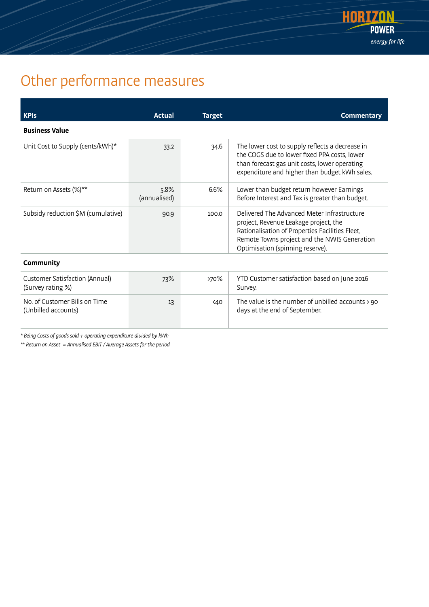

## Other performance measures

| <b>KPIS</b>                                                | Actual               | <b>Target</b>    | <b>Commentary</b>                                                                                                                                                                                                           |  |
|------------------------------------------------------------|----------------------|------------------|-----------------------------------------------------------------------------------------------------------------------------------------------------------------------------------------------------------------------------|--|
| <b>Business Value</b>                                      |                      |                  |                                                                                                                                                                                                                             |  |
| Unit Cost to Supply (cents/kWh)*                           | 33.2                 | 34.6             | The lower cost to supply reflects a decrease in<br>the COGS due to lower fixed PPA costs, lower<br>than forecast gas unit costs, lower operating<br>expenditure and higher than budget kWh sales.                           |  |
| Return on Assets (%)**                                     | 5.8%<br>(annualised) | 6.6%             | Lower than budget return however Earnings<br>Before Interest and Tax is greater than budget.                                                                                                                                |  |
| Subsidy reduction \$M (cumulative)                         | 90.9                 | 100.0            | Delivered The Advanced Meter Infrastructure<br>project, Revenue Leakage project, the<br>Rationalisation of Properties Facilities Fleet,<br>Remote Towns project and the NWIS Generation<br>Optimisation (spinning reserve). |  |
| Community                                                  |                      |                  |                                                                                                                                                                                                                             |  |
| <b>Customer Satisfaction (Annual)</b><br>(Survey rating %) | 73%                  | >70%             | YTD Customer satisfaction based on June 2016<br>Survey.                                                                                                                                                                     |  |
| No. of Customer Bills on Time<br>(Unbilled accounts)       | 13                   | 40 <sub>40</sub> | The value is the number of unbilled accounts > 90<br>days at the end of September.                                                                                                                                          |  |

\* Being Costs of goods sold + operating expenditure divided by kWh

\*\* Return on Asset = Annualised EBIT / Average Assets for the period